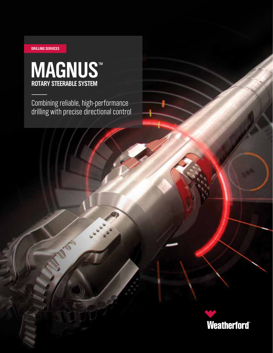## **DRILLING SERVICES**

# **MAGNUS**™ **ROTARY STEERABLE SYSTEM**

100

Combining reliable, high-performance drilling with precise directional control

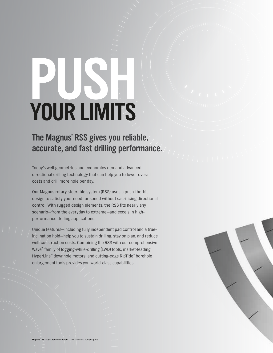# **YOUR LIMITS**

# **The Magnus™ RSS gives you reliable, accurate, and fast drilling performance.**

Today's well geometries and economics demand advanced directional drilling technology that can help you to lower overall costs and drill more hole per day.

Our Magnus rotary steerable system (RSS) uses a push-the-bit design to satisfy your need for speed without sacrificing directional control. With rugged design elements, the RSS fits nearly any scenario—from the everyday to extreme—and excels in highperformance drilling applications.

Unique features—including fully independent pad control and a trueinclination hold—help you to sustain drilling, stay on plan, and reduce well-construction costs. Combining the RSS with our comprehensive Wave™ family of logging-while-drilling (LWD) tools, market-leading HyperLine™ downhole motors, and cutting-edge RipTide® borehole enlargement tools provides you world-class capabilities.

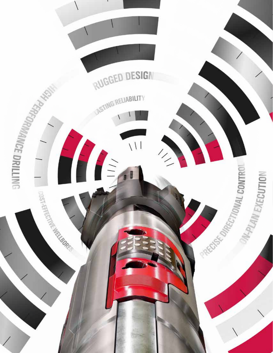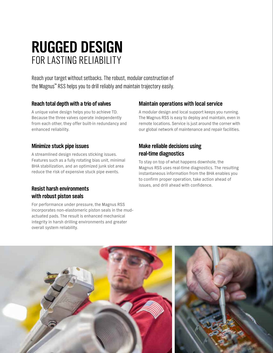# **RUGGED DESIGN** FOR LASTING RELIABILITY

Reach your target without setbacks. The robust, modular construction of the Magnus™ RSS helps you to drill reliably and maintain trajectory easily.

# **Reach total depth with a trio of valves**

A unique valve design helps you to achieve TD. Because the three valves operate independently from each other, they offer built-in redundancy and enhanced reliability.

# **Minimize stuck pipe issues**

A streamlined design reduces sticking issues. Features such as a fully rotating bias unit, minimal BHA stabilization, and an optimized junk slot area reduce the risk of expensive stuck pipe events.

# **Resist harsh environments with robust piston seals**

For performance under pressure, the Magnus RSS incorporates non-elastomeric piston seals in the mudactuated pads. The result is enhanced mechanical integrity in harsh drilling environments and greater overall system reliability.

# **Maintain operations with local service**

A modular design and local support keeps you running. The Magnus RSS is easy to deploy and maintain, even in remote locations. Service is just around the corner with our global network of maintenance and repair facilities.

# **Make reliable decisions using real-time diagnostics**

To stay on top of what happens downhole, the Magnus RSS uses real-time diagnostics. The resulting instantaneous information from the BHA enables you to confirm proper operation, take action ahead of issues, and drill ahead with confidence.

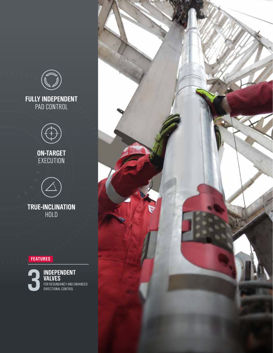



**ON-TARGET EXECUTION** 



**TRUE-INCLINATION** HOLD

# **FEATURES**



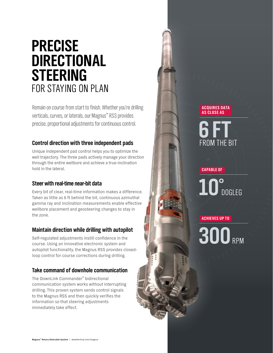# **PRECISE DIRECTIONAL STEERING** FOR STAYING ON PLAN

Remain on course from start to finish. Whether you're drilling verticals, curves, or laterals, our Magnus™ RSS provides precise, proportional adjustments for continuous control.

# **Control direction with three independent pads**

Unique independent pad control helps you to optimize the well trajectory. The three pads actively manage your direction through the entire wellbore and achieve a true-inclination hold in the lateral.

# **Steer with real-time near-bit data**

Every bit of clear, real-time information makes a difference. Taken as little as 6 ft behind the bit, continuous azimuthal gamma ray and inclination measurements enable effective wellbore placement and geosteering changes to stay in the zone.

# **Maintain direction while drilling with autopilot**

Self-regulated adjustments instill confidence in the course. Using an innovative electronic system and autopilot functionality, the Magnus RSS provides closedloop control for course corrections during drilling.

# **Take command of downhole communication**

The DownLink Commander® bidirectional communication system works without interrupting drilling. This proven system sends control signals to the Magnus RSS and then quickly verifies the information so that steering adjustments immediately take effect.

# **ACQUIRES DATA AS CLOSE AS**

# FROM THE BIT **6FT**

**CAPABLE OF**

# $10^{\circ}$ <sub>DOGLEG</sub>

## **ACHIEVES UP TO**

**300**RPM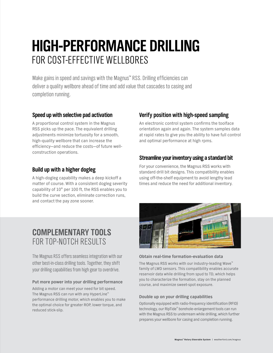# **HIGH-PERFORMANCE DRILLING** FOR COST-EFFECTIVE WELLBORES

Make gains in speed and savings with the Magnus™ RSS. Drilling efficiencies can deliver a quality wellbore ahead of time and add value that cascades to casing and completion running.

# **Speed up with selective pad activation**

A proportional control system in the Magnus RSS picks up the pace. The equivalent drilling adjustments minimize tortuosity for a smooth, high-quality wellbore that can increase the efficiency—and reduce the costs—of future wellconstruction operations.

# **Build up with a higher dogleg**

A high-dogleg capability makes a deep kickoff a matter of course. With a consistent dogleg severity capability of 10° per 100 ft, the RSS enables you to build the curve section, eliminate correction runs, and contact the pay zone sooner.

# **COMPLEMENTARY TOOLS** FOR TOP-NOTCH RESULTS

The Magnus RSS offers seamless integration with our other best-in-class drilling tools. Together, they shift your drilling capabilities from high gear to overdrive.

### **Put more power into your drilling performance**

Adding a motor can meet your need for bit speed. The Magnus RSS can run with any HyperLine™ performance drilling motor, which enables you to make the optimal choice for greater ROP, lower torque, and reduced stick-slip.

# **Verify position with high-speed sampling**

An electronic control system confirms the toolface orientation again and again. The system samples data at rapid rates to give you the ability to have full control and optimal performance at high rpms.

# **Streamline your inventory using a standard bit**

For your convenience, the Magnus RSS works with standard drill bit designs. This compatibility enables using off-the-shelf equipment to avoid lengthy lead times and reduce the need for additional inventory.



### **Obtain real-time formation-evaluation data**

The Magnus RSS works with our industry-leading Wave™ family of LWD sensors. This compatibility enables accurate reservoir data while drilling from spud to TD, which helps you to characterize the formation, stay on the planned course, and maximize sweet-spot exposure.

## **Double up on your drilling capabilities**

Optionally equipped with radio-frequency identification (RFID) technology, our RipTide® borehole-enlargement tools can run with the Magnus RSS to underream while drilling, which further prepares your wellbore for casing and completion running.